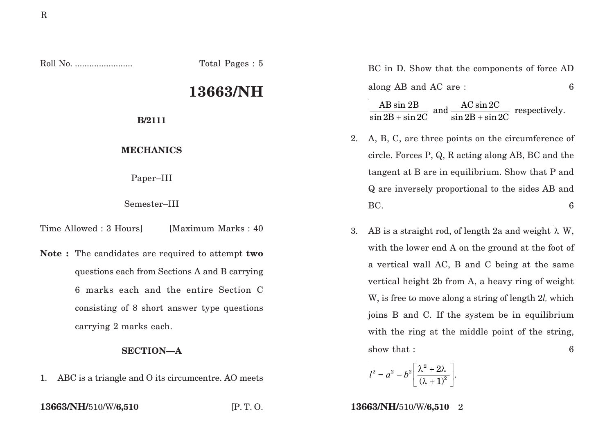Roll No. ........................ Total Pages : 5

## **13663/NH**

**B/2111**

## **MECHANICS**

Paper–III

Semester–III

Time Allowed : 3 Hours [Maximum Marks : 40]

**Note :** The candidates are required to attempt **two** questions each from Sections A and B carrying 6 marks each and the entire Section C consisting of 8 short answer type questions carrying 2 marks each.

## **SECTION—A**

1. ABC is a triangle and O its circumcentre. AO meets

BC in D. Show that the components of force AD along AB and AC are : 6

 $\frac{\text{AB }\sin 2\text{B}}{\sin 2\text{B} + \sin 2\text{C}}$  and  $\frac{\text{AC }\sin 2\text{C}}{\sin 2\text{B} + \sin 2\text{C}}$  respectively.

- 2. A, B, C, are three points on the circumference of circle. Forces P, Q, R acting along AB, BC and the tangent at B are in equilibrium. Show that P and Q are inversely proportional to the sides AB and  $BC.$  6
- 3. AB is a straight rod, of length 2a and weight  $\lambda$  W, with the lower end A on the ground at the foot of a vertical wall AC, B and C being at the same vertical height 2b from A, a heavy ring of weight W, is free to move along a string of length 2*l,* which joins B and C. If the system be in equilibrium with the ring at the middle point of the string, show that :  $\qquad \qquad 6$

$$
l^2 = a^2 - b^2 \left[ \frac{\lambda^2 + 2\lambda}{(\lambda + 1)^2} \right].
$$

**13663/NH/**510/W/**6,510** [P. T. O. **13663/NH/**510/W/**6,510** 2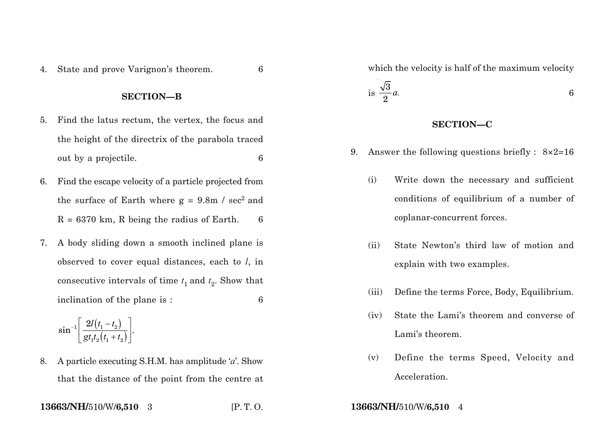4. State and prove Varignon's theorem. 6

## **SECTION—B**

- 5. Find the latus rectum, the vertex, the focus and the height of the directrix of the parabola traced out by a projectile. 6
- 6. Find the escape velocity of a particle projected from the surface of Earth where  $g = 9.8$ m / sec<sup>2</sup> and  $R = 6370$  km, R being the radius of Earth. 6
- 7. A body sliding down a smooth inclined plane is observed to cover equal distances, each to *l*, in consecutive intervals of time  $t_1$  and  $t_2$ . Show that inclination of the plane is : 6

$$
\sin^{-1}\left[\frac{2l(t_1-t_2)}{gt_1t_2(t_1+t_2)}\right].
$$

8. A particle executing S.H.M. has amplitude '*a*'. Show that the distance of the point from the centre at  $i$ s  $\frac{\sqrt{3}}{2}$ 2 *a.* 6 **SECTION—C**

9. Answer the following questions briefly :  $8\times2=16$ 

which the velocity is half of the maximum velocity

- (i) Write down the necessary and sufficient conditions of equilibrium of a number of coplanar-concurrent forces.
- (ii) State Newton's third law of motion and explain with two examples.
- (iii) Define the terms Force, Body, Equilibrium.
- (iv) State the Lami's theorem and converse of Lami's theorem.
- (v) Define the terms Speed, Velocity and Acceleration.